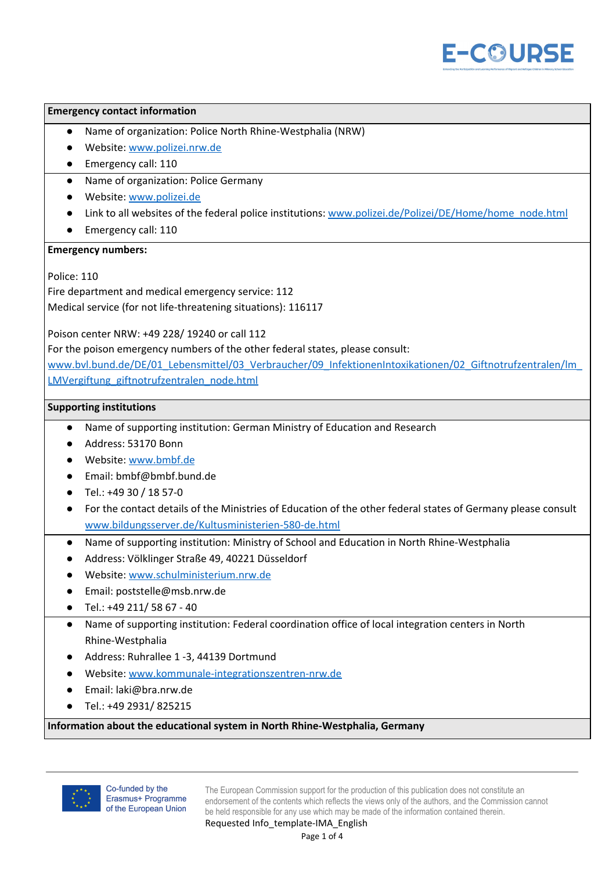

## **Emergency contact information**

- Name of organization: Police North Rhine-Westphalia (NRW)
- Website: [www.polizei.nrw.de](http://www.polizei.nrw.de/)
- Emergency call: 110
- Name of organization: Police Germany
- Website: [www.polizei.de](http://www.polizei.de/)
- Link to all websites of the federal police institutions: [www.polizei.de/Polizei/DE/Home/home\\_node.html](http://www.polizei.de/Polizei/DE/Home/home_node.html)
- Emergency call: 110

## **Emergency numbers:**

Police: 110

Fire department and medical emergency service: 112 Medical service (for not life-threatening situations): 116117

Poison center NRW: +49 228/ 19240 or call 112

For the poison emergency numbers of the other federal states, please consult:

[www.bvl.bund.de/DE/01\\_Lebensmittel/03\\_Verbraucher/09\\_InfektionenIntoxikationen/02\\_Giftnotrufzentralen/lm\\_](http://www.bvl.bund.de/DE/01_Lebensmittel/03_Verbraucher/09_InfektionenIntoxikationen/02_Giftnotrufzentralen/lm_LMVergiftung_giftnotrufzentralen_node.html) [LMVergiftung\\_giftnotrufzentralen\\_node.html](http://www.bvl.bund.de/DE/01_Lebensmittel/03_Verbraucher/09_InfektionenIntoxikationen/02_Giftnotrufzentralen/lm_LMVergiftung_giftnotrufzentralen_node.html)

## **Supporting institutions**

- Name of supporting institution: German Ministry of Education and Research
- Address: 53170 Bonn
- Website: [www.bmbf.de](http://www.bmbf.de/)
- Email: bmbf@bmbf.bund.de
- $\bullet$  Tel.: +49 30 / 18 57-0
- For the contact details of the Ministries of Education of the other federal states of Germany please consult [www.bildungsserver.de/Kultusministerien-580-de.html](http://www.bildungsserver.de/Kultusministerien-580-de.html)
- Name of supporting institution: Ministry of School and Education in North Rhine-Westphalia
- Address: Völklinger Straße 49, 40221 Düsseldorf
- Website: [www.schulministerium.nrw.de](http://www.schulministerium.nrw.de/)
- Email: poststelle@msb.nrw.de
- Tel.: +49 211/ 58 67 40
- Name of supporting institution: Federal coordination office of local integration centers in North Rhine-Westphalia
- Address: Ruhrallee 1 -3, 44139 Dortmund
- Website: [www.kommunale-integrationszentren-nrw.de](http://www.kommunale-integrationszentren-nrw.de/)
- Email: laki@bra.nrw.de
- Tel.: +49 2931/ 825215

## **Information about the educational system in North Rhine-Westphalia, Germany**

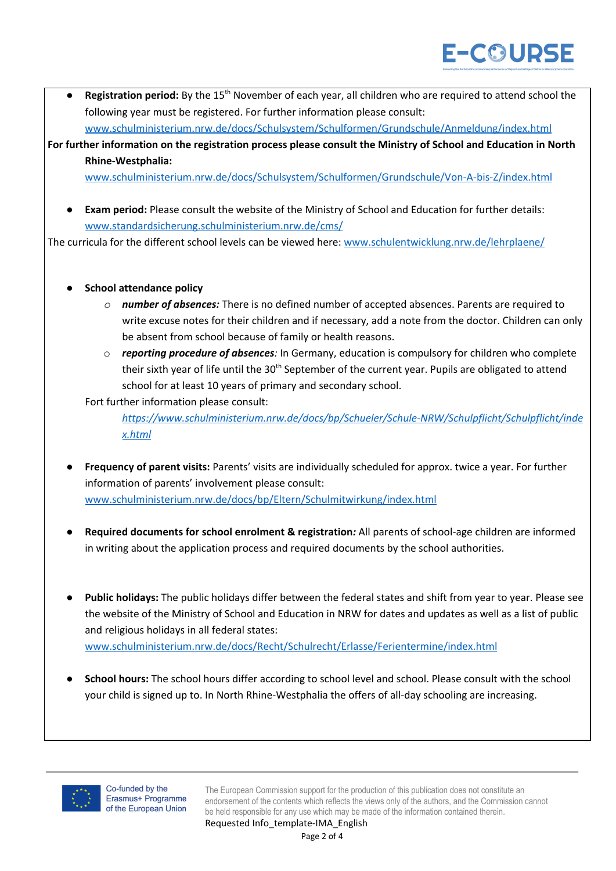**• Registration period:** By the 15<sup>th</sup> November of each year, all children who are required to attend school the following year must be registered. For further information please consult: [www.schulministerium.nrw.de/docs/Schulsystem/Schulformen/Grundschule/Anmeldung/index.html](http://www.schulministerium.nrw.de/docs/Schulsystem/Schulformen/Grundschule/Anmeldung/index.html)

For further information on the registration process please consult the Ministry of School and Education in North **Rhine-Westphalia:**

[www.schulministerium.nrw.de/docs/Schulsystem/Schulformen/Grundschule/Von-A-bis-Z/index.html](http://www.schulministerium.nrw.de/docs/Schulsystem/Schulformen/Grundschule/Von-A-bis-Z/index.html)

**Exam period:** Please consult the website of the Ministry of School and Education for further details: [www.standardsicherung.schulministerium.nrw.de/cms/](http://www.standardsicherung.schulministerium.nrw.de/cms/)

The curricula for the different school levels can be viewed here: [www.schulentwicklung.nrw.de/lehrplaene/](http://www.schulentwicklung.nrw.de/lehrplaene/)

- *●* **School attendance policy**
	- *o number of absences:* There is no defined number of accepted absences. Parents are required to write excuse notes for their children and if necessary, add a note from the doctor. Children can only be absent from school because of family or health reasons.
	- o *reporting procedure of absences:* In Germany, education is compulsory for children who complete their sixth year of life until the 30<sup>th</sup> September of the current year. Pupils are obligated to attend school for at least 10 years of primary and secondary school.

Fort further information please consult:

*[https://www.schulministerium.nrw.de/docs/bp/Schueler/Schule-NRW/Schulpflicht/Schulpflicht/inde](https://www.schulministerium.nrw.de/docs/bp/Schueler/Schule-NRW/Schulpflicht/Schulpflicht/index.html) [x.html](https://www.schulministerium.nrw.de/docs/bp/Schueler/Schule-NRW/Schulpflicht/Schulpflicht/index.html)*

- **Frequency of parent visits:** Parents' visits are individually scheduled for approx. twice a year. For further information of parents' involvement please consult: [www.schulministerium.nrw.de/docs/bp/Eltern/Schulmitwirkung/index.html](http://www.schulministerium.nrw.de/docs/bp/Eltern/Schulmitwirkung/index.html)
- *●* **Required documents for school enrolment & registration***:* All parents of school-age children are informed in writing about the application process and required documents by the school authorities.
- **Public holidays:** The public holidays differ between the federal states and shift from year to year. Please see the website of the Ministry of School and Education in NRW for dates and updates as well as a list of public and religious holidays in all federal states: [www.schulministerium.nrw.de/docs/Recht/Schulrecht/Erlasse/Ferientermine/index.html](http://www.schulministerium.nrw.de/docs/Recht/Schulrecht/Erlasse/Ferientermine/index.html)
- *●* **School hours:** The school hours differ according to school level and school. Please consult with the school your child is signed up to. In North Rhine-Westphalia the offers of all-day schooling are increasing.

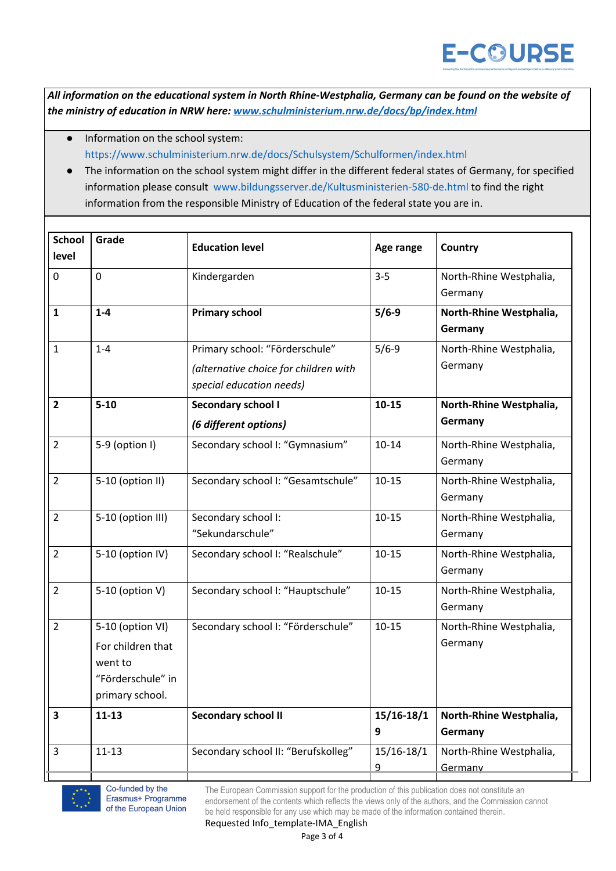All information on the educational system in North Rhine-Westphalia, Germany can be found on the website of *the ministry of education in NRW here: [www.schulministerium.nrw.de/docs/bp/index.html](http://www.schulministerium.nrw.de/docs/bp/index.html)*

- Information on the school system: <https://www.schulministerium.nrw.de/docs/Schulsystem/Schulformen/index.html>
- The information on the school system might differ in the different federal states of Germany, for specified information please consult [www.bildungsserver.de/Kultusministerien-580-de.html](http://www.bildungsserver.de/Kultusministerien-580-de.html) to find the right information from the responsible Ministry of Education of the federal state you are in.

| <b>School</b><br>level | Grade                                                                                    | <b>Education level</b>                                                                              | Age range              | <b>Country</b>                     |
|------------------------|------------------------------------------------------------------------------------------|-----------------------------------------------------------------------------------------------------|------------------------|------------------------------------|
| $\mathbf 0$            | $\overline{0}$                                                                           | Kindergarden                                                                                        | $3 - 5$                | North-Rhine Westphalia,<br>Germany |
| $\mathbf{1}$           | $1 - 4$                                                                                  | <b>Primary school</b>                                                                               | $5/6-9$                | North-Rhine Westphalia,<br>Germany |
| $\mathbf{1}$           | $1 - 4$                                                                                  | Primary school: "Förderschule"<br>(alternative choice for children with<br>special education needs) | $5/6-9$                | North-Rhine Westphalia,<br>Germany |
| $\overline{2}$         | $5 - 10$                                                                                 | <b>Secondary school I</b><br>(6 different options)                                                  | $10 - 15$              | North-Rhine Westphalia,<br>Germany |
| $\overline{2}$         | 5-9 (option I)                                                                           | Secondary school I: "Gymnasium"                                                                     | $10 - 14$              | North-Rhine Westphalia,<br>Germany |
| $\overline{2}$         | 5-10 (option II)                                                                         | Secondary school I: "Gesamtschule"                                                                  | $10 - 15$              | North-Rhine Westphalia,<br>Germany |
| $\overline{2}$         | 5-10 (option III)                                                                        | Secondary school I:<br>"Sekundarschule"                                                             | $10 - 15$              | North-Rhine Westphalia,<br>Germany |
| $\overline{2}$         | 5-10 (option IV)                                                                         | Secondary school I: "Realschule"                                                                    | $10 - 15$              | North-Rhine Westphalia,<br>Germany |
| $\overline{2}$         | 5-10 (option V)                                                                          | Secondary school I: "Hauptschule"                                                                   | $10 - 15$              | North-Rhine Westphalia,<br>Germany |
| $\overline{2}$         | 5-10 (option VI)<br>For children that<br>went to<br>"Förderschule" in<br>primary school. | Secondary school I: "Förderschule"                                                                  | $10 - 15$              | North-Rhine Westphalia,<br>Germany |
| 3                      | $11 - 13$                                                                                | <b>Secondary school II</b>                                                                          | $15/16-18/1$<br>9      | North-Rhine Westphalia,<br>Germany |
| 3                      | $11 - 13$                                                                                | Secondary school II: "Berufskolleg"                                                                 | 15/16-18/1<br><u>9</u> | North-Rhine Westphalia,<br>Germany |



Co-funded by the Erasmus+ Programme of the European Union

The European Commission support for the production of this publication does not constitute an endorsement of the contents which reflects the views only of the authors, and the Commission cannot be held responsible for any use which may be made of the information contained therein.